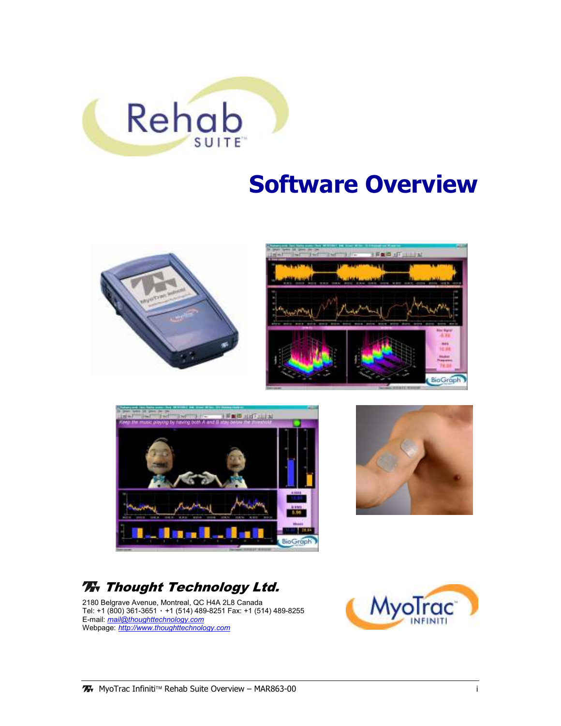

# Software Overview







## **Thought Technology Ltd.**

2180 Belgrave Avenue, Montreal, QC H4A 2L8 Canada Tel: +1 (800) 361-3651 ٠ +1 (514) 489-8251 Fax: +1 (514) 489-8255 E-mail: mail@thoughttechnology.com Webpage: http://www.thoughttechnology.com

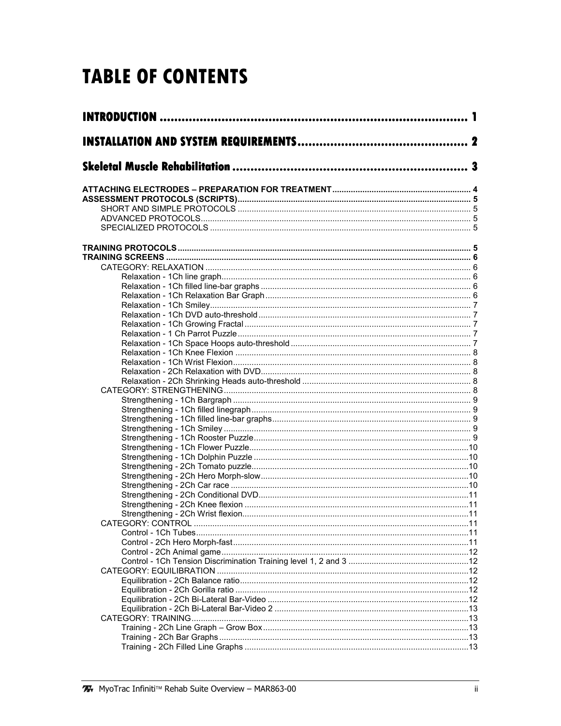## **TABLE OF CONTENTS**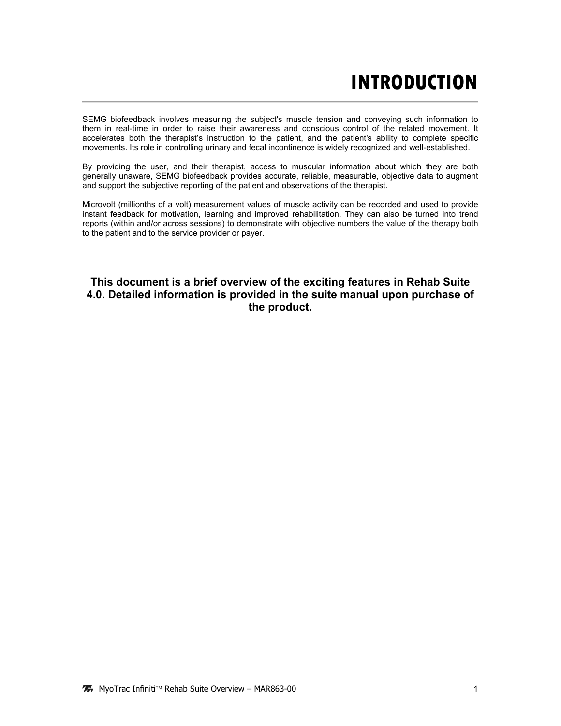## **INTRODUCTION**

SEMG biofeedback involves measuring the subject's muscle tension and conveying such information to them in real-time in order to raise their awareness and conscious control of the related movement. It accelerates both the therapist's instruction to the patient, and the patient's ability to complete specific movements. Its role in controlling urinary and fecal incontinence is widely recognized and well-established.

By providing the user, and their therapist, access to muscular information about which they are both generally unaware, SEMG biofeedback provides accurate, reliable, measurable, objective data to augment and support the subjective reporting of the patient and observations of the therapist.

Microvolt (millionths of a volt) measurement values of muscle activity can be recorded and used to provide instant feedback for motivation, learning and improved rehabilitation. They can also be turned into trend reports (within and/or across sessions) to demonstrate with objective numbers the value of the therapy both to the patient and to the service provider or payer.

### This document is a brief overview of the exciting features in Rehab Suite 4.0. Detailed information is provided in the suite manual upon purchase of the product.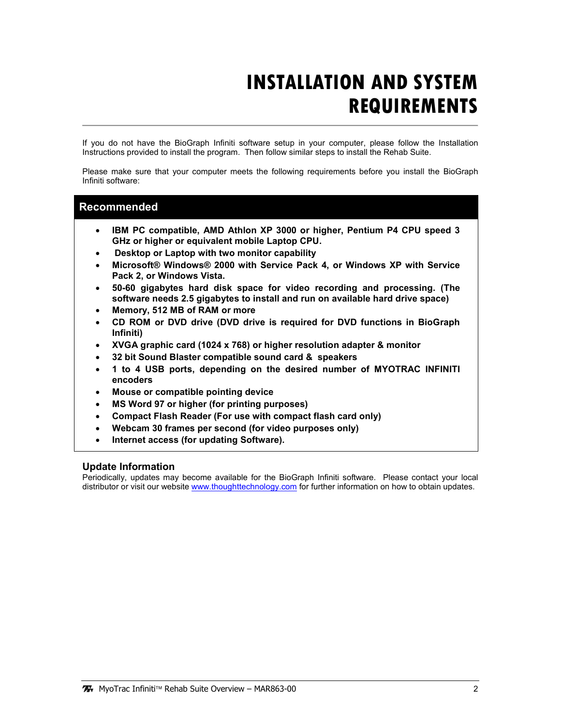## **INSTALLATION AND SYSTEM REQUIREMENTS**

If you do not have the BioGraph Infiniti software setup in your computer, please follow the Installation Instructions provided to install the program. Then follow similar steps to install the Rehab Suite.

Please make sure that your computer meets the following requirements before you install the BioGraph Infiniti software:

### Recommended

- IBM PC compatible, AMD Athlon XP 3000 or higher, Pentium P4 CPU speed 3 GHz or higher or equivalent mobile Laptop CPU.
- Desktop or Laptop with two monitor capability
- Microsoft® Windows® 2000 with Service Pack 4, or Windows XP with Service Pack 2, or Windows Vista.
- 50-60 gigabytes hard disk space for video recording and processing. (The software needs 2.5 gigabytes to install and run on available hard drive space)
- Memory, 512 MB of RAM or more
- CD ROM or DVD drive (DVD drive is required for DVD functions in BioGraph Infiniti)
- XVGA graphic card (1024 x 768) or higher resolution adapter & monitor
- 32 bit Sound Blaster compatible sound card & speakers
- 1 to 4 USB ports, depending on the desired number of MYOTRAC INFINITI encoders
- Mouse or compatible pointing device
- MS Word 97 or higher (for printing purposes)
- Compact Flash Reader (For use with compact flash card only)
- Webcam 30 frames per second (for video purposes only)
- Internet access (for updating Software).

#### Update Information

Periodically, updates may become available for the BioGraph Infiniti software. Please contact your local distributor or visit our website www.thoughttechnology.com for further information on how to obtain updates.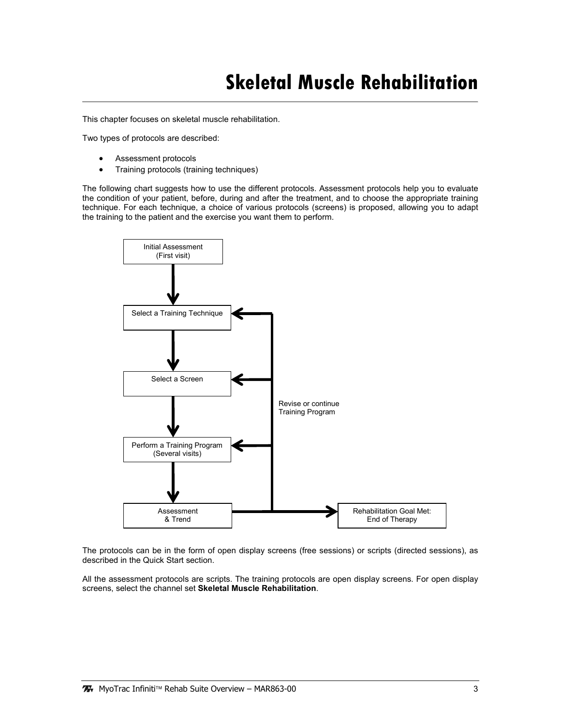## **Skeletal Muscle Rehabilitation**

This chapter focuses on skeletal muscle rehabilitation.

Two types of protocols are described:

- Assessment protocols
- Training protocols (training techniques)

The following chart suggests how to use the different protocols. Assessment protocols help you to evaluate the condition of your patient, before, during and after the treatment, and to choose the appropriate training technique. For each technique, a choice of various protocols (screens) is proposed, allowing you to adapt the training to the patient and the exercise you want them to perform.



The protocols can be in the form of open display screens (free sessions) or scripts (directed sessions), as described in the Quick Start section.

All the assessment protocols are scripts. The training protocols are open display screens. For open display screens, select the channel set Skeletal Muscle Rehabilitation.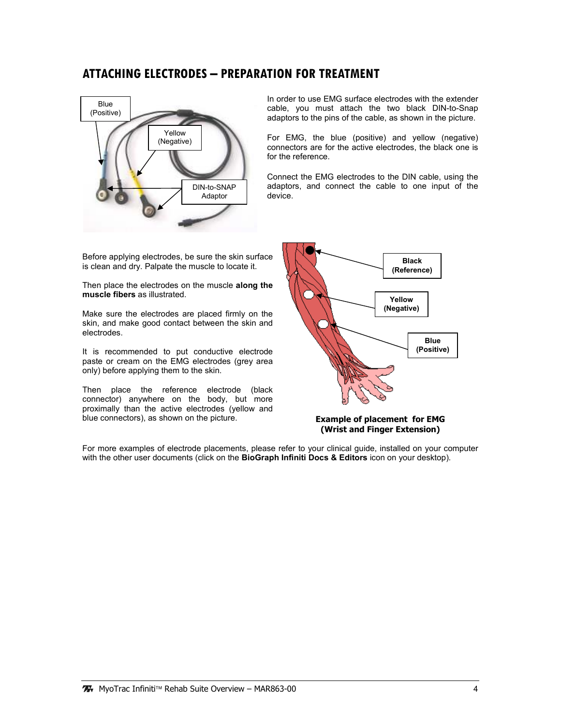## ATTACHING ELECTRODES – PREPARATION FOR TREATMENT



In order to use EMG surface electrodes with the extender cable, you must attach the two black DIN-to-Snap adaptors to the pins of the cable, as shown in the picture.

For EMG, the blue (positive) and yellow (negative) connectors are for the active electrodes, the black one is for the reference.

Connect the EMG electrodes to the DIN cable, using the adaptors, and connect the cable to one input of the device.

Before applying electrodes, be sure the skin surface is clean and dry. Palpate the muscle to locate it.

Then place the electrodes on the muscle along the muscle fibers as illustrated.

Make sure the electrodes are placed firmly on the skin, and make good contact between the skin and electrodes.

It is recommended to put conductive electrode paste or cream on the EMG electrodes (grey area only) before applying them to the skin.

Then place the reference electrode (black connector) anywhere on the body, but more proximally than the active electrodes (yellow and blue connectors), as shown on the picture.



Example of placement for EMG (Wrist and Finger Extension)

For more examples of electrode placements, please refer to your clinical guide, installed on your computer with the other user documents (click on the BioGraph Infiniti Docs & Editors icon on your desktop).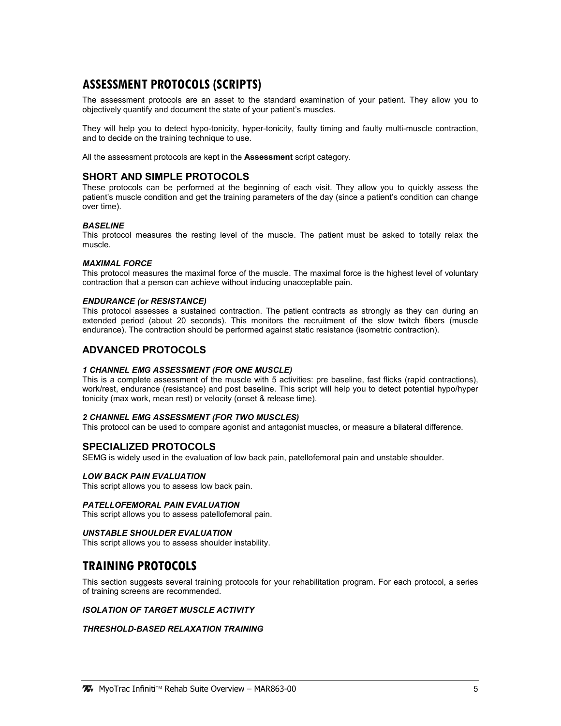## ASSESSMENT PROTOCOLS (SCRIPTS)

The assessment protocols are an asset to the standard examination of your patient. They allow you to objectively quantify and document the state of your patient's muscles.

They will help you to detect hypo-tonicity, hyper-tonicity, faulty timing and faulty multi-muscle contraction, and to decide on the training technique to use.

All the assessment protocols are kept in the **Assessment** script category.

#### SHORT AND SIMPLE PROTOCOLS

These protocols can be performed at the beginning of each visit. They allow you to quickly assess the patient's muscle condition and get the training parameters of the day (since a patient's condition can change over time).

#### **BASELINE**

This protocol measures the resting level of the muscle. The patient must be asked to totally relax the muscle.

#### MAXIMAL FORCE

This protocol measures the maximal force of the muscle. The maximal force is the highest level of voluntary contraction that a person can achieve without inducing unacceptable pain.

#### ENDURANCE (or RESISTANCE)

This protocol assesses a sustained contraction. The patient contracts as strongly as they can during an extended period (about 20 seconds). This monitors the recruitment of the slow twitch fibers (muscle endurance). The contraction should be performed against static resistance (isometric contraction).

#### ADVANCED PROTOCOLS

#### 1 CHANNEL EMG ASSESSMENT (FOR ONE MUSCLE)

This is a complete assessment of the muscle with 5 activities: pre baseline, fast flicks (rapid contractions), work/rest, endurance (resistance) and post baseline. This script will help you to detect potential hypo/hyper tonicity (max work, mean rest) or velocity (onset & release time).

#### 2 CHANNEL EMG ASSESSMENT (FOR TWO MUSCLES)

This protocol can be used to compare agonist and antagonist muscles, or measure a bilateral difference.

#### SPECIALIZED PROTOCOLS

SEMG is widely used in the evaluation of low back pain, patellofemoral pain and unstable shoulder.

#### LOW BACK PAIN EVALUATION

This script allows you to assess low back pain.

#### PATELLOFEMORAL PAIN EVALUATION

This script allows you to assess patellofemoral pain.

#### UNSTABLE SHOULDER EVALUATION

This script allows you to assess shoulder instability.

## TRAINING PROTOCOLS

This section suggests several training protocols for your rehabilitation program. For each protocol, a series of training screens are recommended.

#### ISOLATION OF TARGET MUSCLE ACTIVITY

#### THRESHOLD-BASED RELAXATION TRAINING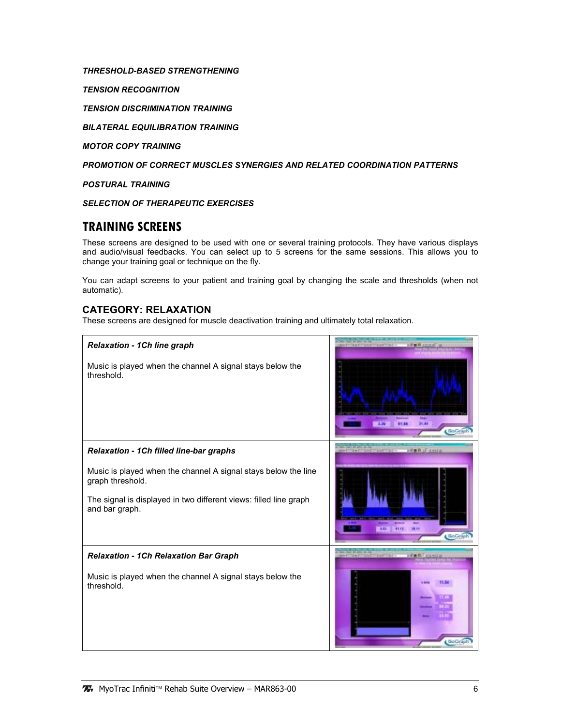#### THRESHOLD-BASED STRENGTHENING

TENSION RECOGNITION

TENSION DISCRIMINATION TRAINING

BILATERAL EQUILIBRATION TRAINING

MOTOR COPY TRAINING

PROMOTION OF CORRECT MUSCLES SYNERGIES AND RELATED COORDINATION PATTERNS

POSTURAL TRAINING

SELECTION OF THERAPEUTIC EXERCISES

## TRAINING SCREENS

These screens are designed to be used with one or several training protocols. They have various displays and audio/visual feedbacks. You can select up to 5 screens for the same sessions. This allows you to change your training goal or technique on the fly.

You can adapt screens to your patient and training goal by changing the scale and thresholds (when not automatic).

### CATEGORY: RELAXATION

These screens are designed for muscle deactivation training and ultimately total relaxation.

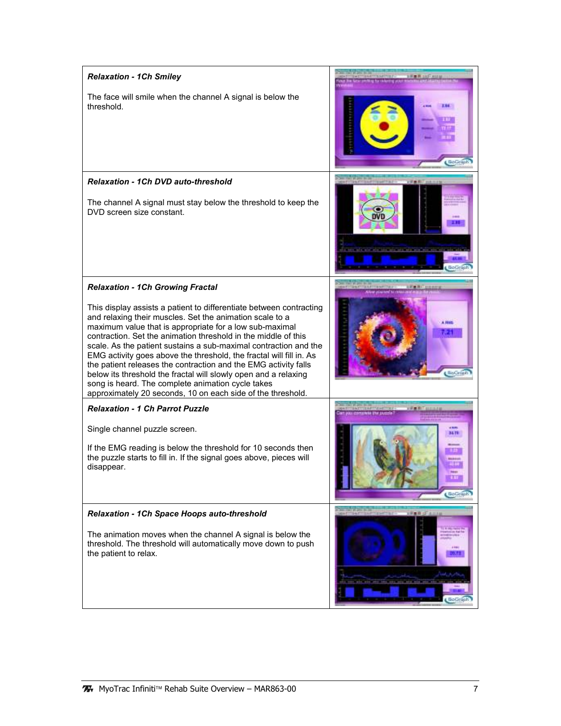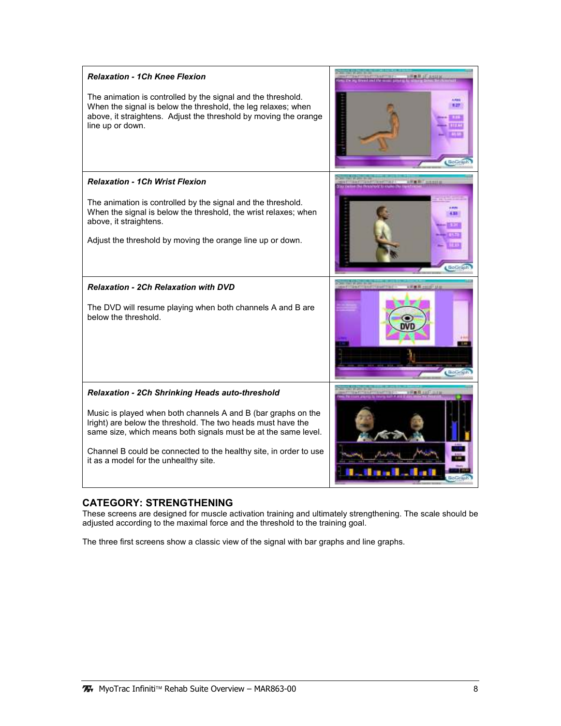| <b>Relaxation - 1Ch Knee Flexion</b><br>The animation is controlled by the signal and the threshold.<br>When the signal is below the threshold, the leg relaxes; when<br>above, it straightens. Adjust the threshold by moving the orange<br>line up or down.                                                                                                           | 長書期 1日 法出口                       |
|-------------------------------------------------------------------------------------------------------------------------------------------------------------------------------------------------------------------------------------------------------------------------------------------------------------------------------------------------------------------------|----------------------------------|
| <b>Relaxation - 1Ch Wrist Flexion</b><br>The animation is controlled by the signal and the threshold.<br>When the signal is below the threshold, the wrist relaxes; when<br>above, it straightens.<br>Adjust the threshold by moving the orange line up or down.                                                                                                        | <b>WHITERRIE</b><br><b>BoCan</b> |
| <b>Relaxation - 2Ch Relaxation with DVD</b><br>The DVD will resume playing when both channels A and B are<br>below the threshold.                                                                                                                                                                                                                                       |                                  |
| <b>Relaxation - 2Ch Shrinking Heads auto-threshold</b><br>Music is played when both channels A and B (bar graphs on the<br>Iright) are below the threshold. The two heads must have the<br>same size, which means both signals must be at the same level.<br>Channel B could be connected to the healthy site, in order to use<br>it as a model for the unhealthy site. |                                  |

### CATEGORY: STRENGTHENING

These screens are designed for muscle activation training and ultimately strengthening. The scale should be adjusted according to the maximal force and the threshold to the training goal.

The three first screens show a classic view of the signal with bar graphs and line graphs.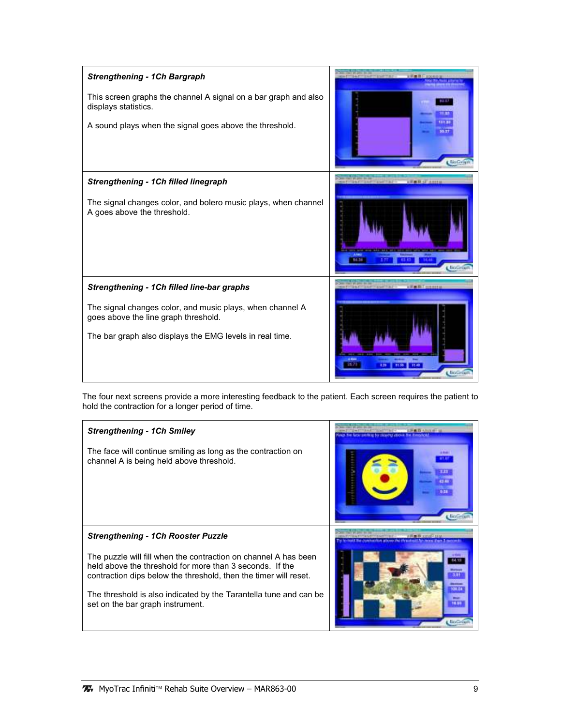| <b>Strengthening - 1Ch Bargraph</b><br>This screen graphs the channel A signal on a bar graph and also<br>displays statistics.<br>A sound plays when the signal goes above the threshold.                   | BioGyl  |
|-------------------------------------------------------------------------------------------------------------------------------------------------------------------------------------------------------------|---------|
| Strengthening - 1Ch filled linegraph<br>The signal changes color, and bolero music plays, when channel<br>A goes above the threshold.                                                                       | BioGri  |
| Strengthening - 1Ch filled line-bar graphs<br>The signal changes color, and music plays, when channel A<br>goes above the line graph threshold.<br>The bar graph also displays the EMG levels in real time. | BioGria |

The four next screens provide a more interesting feedback to the patient. Each screen requires the patient to hold the contraction for a longer period of time.

| <b>Strengthening - 1Ch Smiley</b>                                                                                                                                                                                                                                                                        |                  |
|----------------------------------------------------------------------------------------------------------------------------------------------------------------------------------------------------------------------------------------------------------------------------------------------------------|------------------|
| The face will continue smiling as long as the contraction on<br>channel A is being held above threshold.                                                                                                                                                                                                 | <b>Baltimore</b> |
| <b>Strengthening - 1Ch Rooster Puzzle</b>                                                                                                                                                                                                                                                                |                  |
| The puzzle will fill when the contraction on channel A has been<br>held above the threshold for more than 3 seconds. If the<br>contraction dips below the threshold, then the timer will reset.<br>The threshold is also indicated by the Tarantella tune and can be<br>set on the bar graph instrument. | <b>Big Cay</b>   |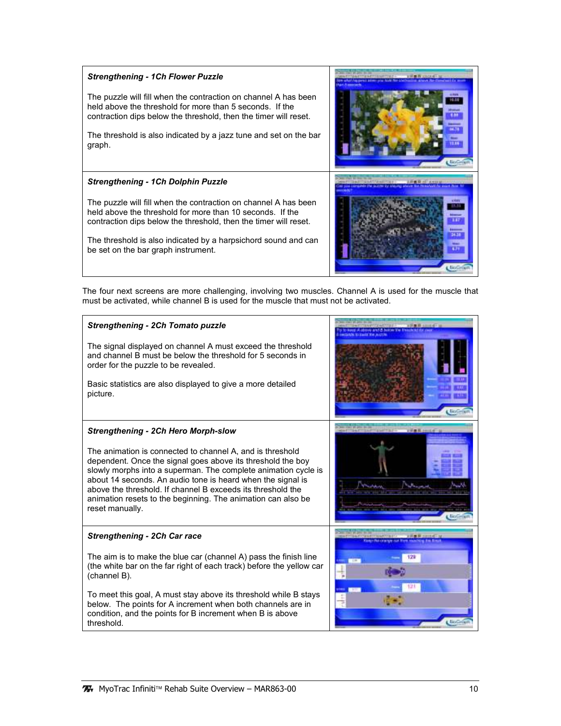#### Strengthening - 1Ch Flower Puzzle

The puzzle will fill when the contraction on channel A has been held above the threshold for more than 5 seconds. If the contraction dips below the threshold, then the timer will reset.

The threshold is also indicated by a jazz tune and set on the bar graph.

#### Strengthening - 1Ch Dolphin Puzzle

The puzzle will fill when the contraction on channel A has been held above the threshold for more than 10 seconds. If the contraction dips below the threshold, then the timer will reset.

The threshold is also indicated by a harpsichord sound and can be set on the bar graph instrument.



The four next screens are more challenging, involving two muscles. Channel A is used for the muscle that must be activated, while channel B is used for the muscle that must not be activated.

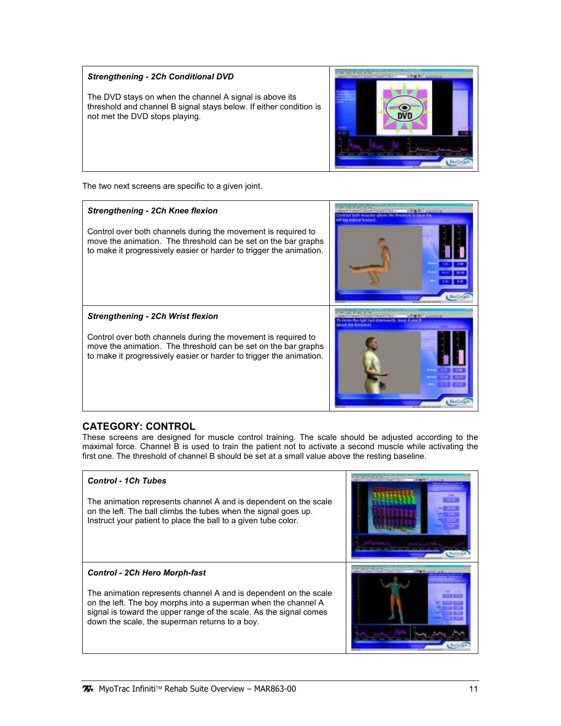#### Strengthening - 2Ch Conditional DVD

The DVD stays on when the channel A signal is above its threshold and channel B signal stays below. If either condition is not met the DVD stops playing.



The two next screens are specific to a given joint.

#### Strengthening - 2Ch Knee flexion

Control over both channels during the movement is required to move the animation. The threshold can be set on the bar graphs to make it progressively easier or harder to trigger the animation.



Strengthening - 2Ch Wrist flexion

Control over both channels during the movement is required to move the animation. The threshold can be set on the bar graphs to make it progressively easier or harder to trigger the animation.

#### CATEGORY: CONTROL

These screens are designed for muscle control training. The scale should be adjusted according to the maximal force. Channel B is used to train the patient not to activate a second muscle while activating the first one. The threshold of channel B should be set at a small value above the resting baseline.

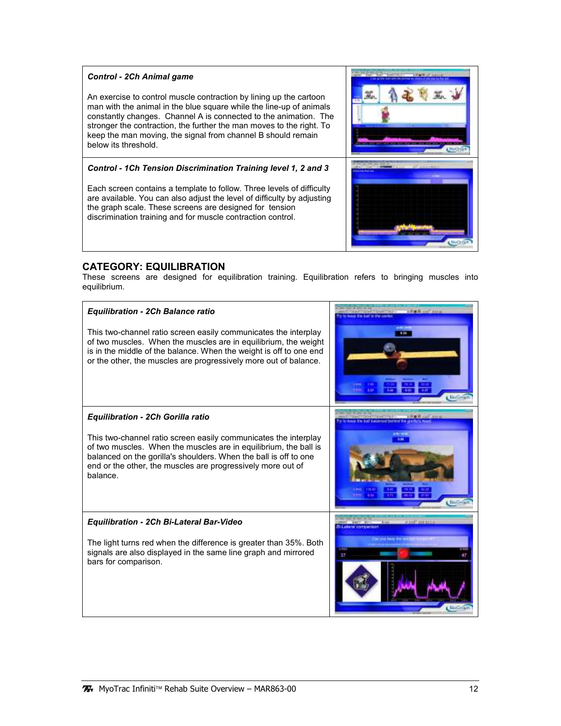#### Control - 2Ch Animal game

An exercise to control muscle contraction by lining up the cartoon man with the animal in the blue square while the line-up of animals constantly changes. Channel A is connected to the animation. The stronger the contraction, the further the man moves to the right. To keep the man moving, the signal from channel B should remain below its threshold.

#### Control - 1Ch Tension Discrimination Training level 1, 2 and 3

Each screen contains a template to follow. Three levels of difficulty are available. You can also adjust the level of difficulty by adjusting the graph scale. These screens are designed for tension discrimination training and for muscle contraction control.



### CATEGORY: EQUILIBRATION

These screens are designed for equilibration training. Equilibration refers to bringing muscles into equilibrium.

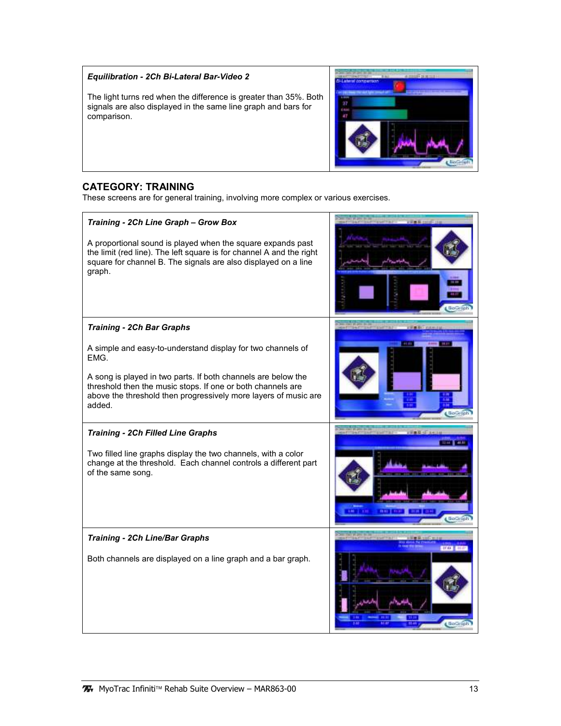#### Equilibration - 2Ch Bi-Lateral Bar-Video 2

The light turns red when the difference is greater than 35%. Both signals are also displayed in the same line graph and bars for comparison.



### CATEGORY: TRAINING

These screens are for general training, involving more complex or various exercises.

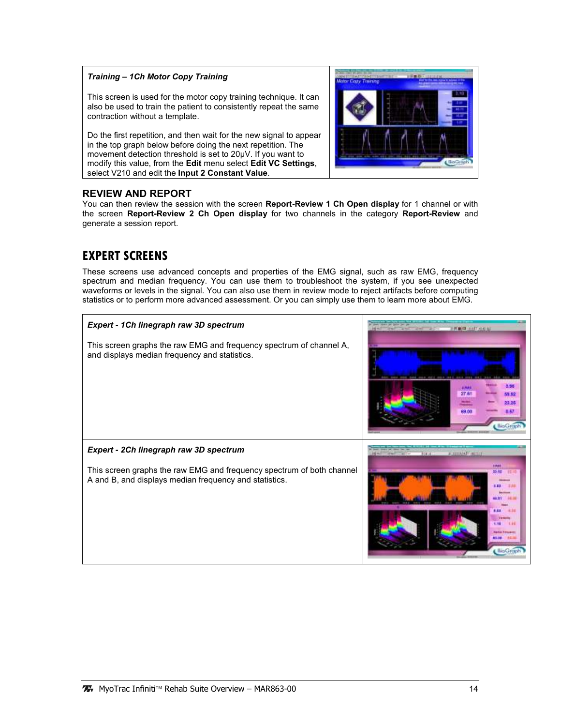#### Training – 1Ch Motor Copy Training

This screen is used for the motor copy training technique. It can also be used to train the patient to consistently repeat the same contraction without a template.

Do the first repetition, and then wait for the new signal to appear in the top graph below before doing the next repetition. The movement detection threshold is set to 20µV. If you want to modify this value, from the Edit menu select Edit VC Settings, select V210 and edit the Input 2 Constant Value.

#### REVIEW AND REPORT

You can then review the session with the screen Report-Review 1 Ch Open display for 1 channel or with the screen Report-Review 2 Ch Open display for two channels in the category Report-Review and generate a session report.

## EXPERT SCREENS

These screens use advanced concepts and properties of the EMG signal, such as raw EMG, frequency spectrum and median frequency. You can use them to troubleshoot the system, if you see unexpected waveforms or levels in the signal. You can also use them in review mode to reject artifacts before computing statistics or to perform more advanced assessment. Or you can simply use them to learn more about EMG.

| Expert - 1Ch linegraph raw 3D spectrum<br>This screen graphs the raw EMG and frequency spectrum of channel A,<br>and displays median frequency and statistics.            | La bux Third Disk H<br>3.56<br>man<br>23 F.Y<br>69.00<br><b>BioGr</b>                                           |
|---------------------------------------------------------------------------------------------------------------------------------------------------------------------------|-----------------------------------------------------------------------------------------------------------------|
| Expert - 2Ch linegraph raw 3D spectrum<br>This screen graphs the raw EMG and frequency spectrum of both channel<br>A and B, and displays median frequency and statistics. | <b>A SHOWATT MITTER</b><br><b>Calling</b><br>72. AU<br>$\cdots$<br><b>SARGE FRIDAY</b><br>n me<br><b>BioGra</b> |

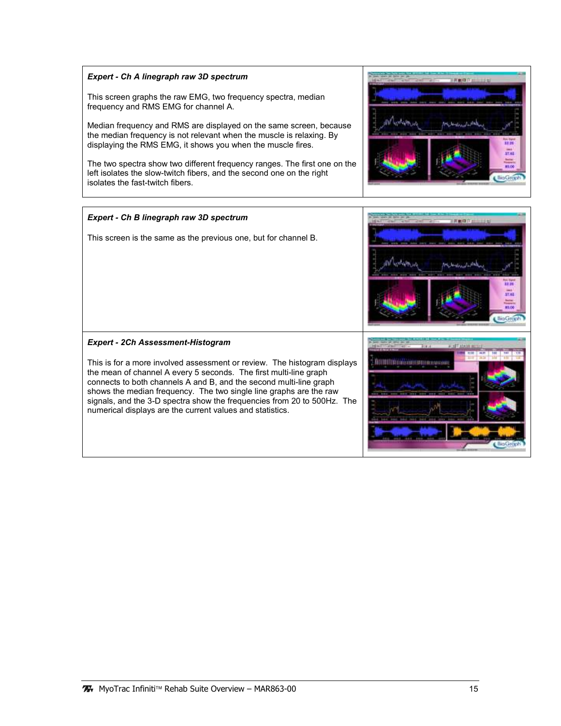#### Expert - Ch A linegraph raw 3D spectrum

This screen graphs the raw EMG, two frequency spectra, median frequency and RMS EMG for channel A.

Median frequency and RMS are displayed on the same screen, because the median frequency is not relevant when the muscle is relaxing. By displaying the RMS EMG, it shows you when the muscle fires.

The two spectra show two different frequency ranges. The first one on the left isolates the slow-twitch fibers, and the second one on the right isolates the fast-twitch fibers.



FROTAL

щm  $\frac{1}{87.03}$ 

**HoGroph**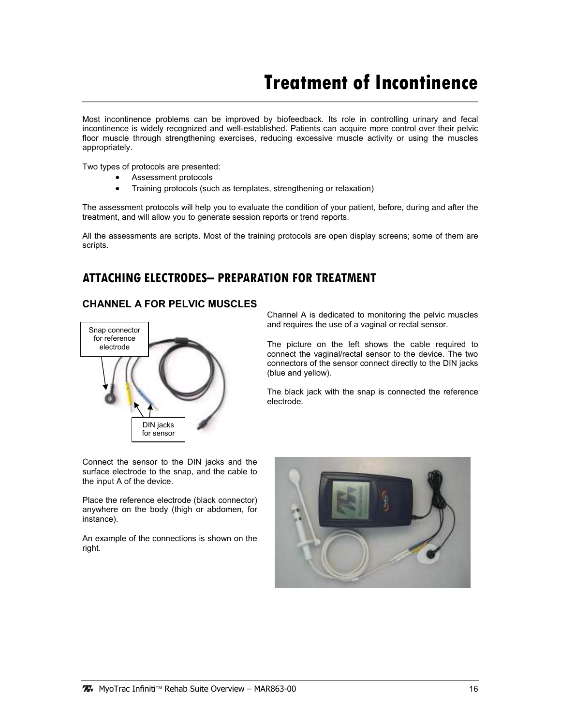## **Treatment of Incontinence**

Most incontinence problems can be improved by biofeedback. Its role in controlling urinary and fecal incontinence is widely recognized and well-established. Patients can acquire more control over their pelvic floor muscle through strengthening exercises, reducing excessive muscle activity or using the muscles appropriately.

Two types of protocols are presented:

- Assessment protocols
- Training protocols (such as templates, strengthening or relaxation)

The assessment protocols will help you to evaluate the condition of your patient, before, during and after the treatment, and will allow you to generate session reports or trend reports.

All the assessments are scripts. Most of the training protocols are open display screens; some of them are scripts.

## ATTACHING ELECTRODES– PREPARATION FOR TREATMENT

#### CHANNEL A FOR PELVIC MUSCLES



Channel A is dedicated to monitoring the pelvic muscles and requires the use of a vaginal or rectal sensor.

The picture on the left shows the cable required to connect the vaginal/rectal sensor to the device. The two connectors of the sensor connect directly to the DIN jacks (blue and yellow).

The black jack with the snap is connected the reference electrode.

Connect the sensor to the DIN jacks and the surface electrode to the snap, and the cable to the input A of the device.

Place the reference electrode (black connector) anywhere on the body (thigh or abdomen, for instance).

An example of the connections is shown on the right.

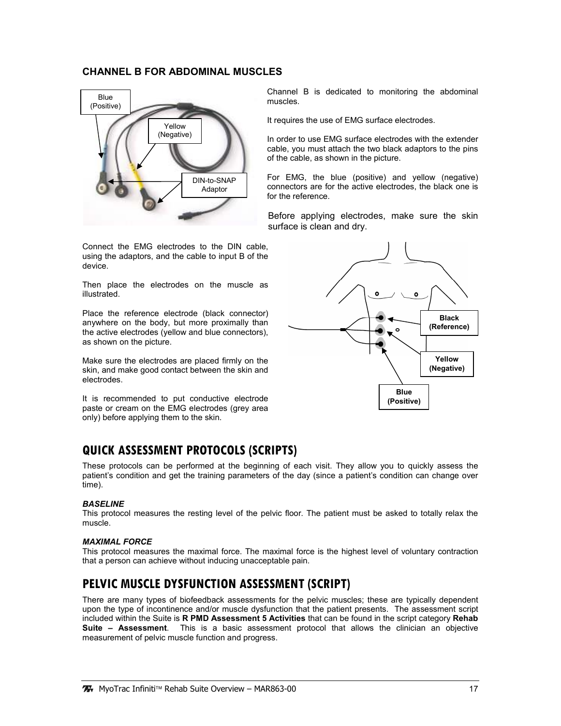#### CHANNEL B FOR ABDOMINAL MUSCLES



Connect the EMG electrodes to the DIN cable, using the adaptors, and the cable to input B of the device.

Then place the electrodes on the muscle as illustrated.

Place the reference electrode (black connector) anywhere on the body, but more proximally than the active electrodes (yellow and blue connectors), as shown on the picture.

Make sure the electrodes are placed firmly on the skin, and make good contact between the skin and electrodes.

It is recommended to put conductive electrode paste or cream on the EMG electrodes (grey area only) before applying them to the skin.

## QUICK ASSESSMENT PROTOCOLS (SCRIPTS)

These protocols can be performed at the beginning of each visit. They allow you to quickly assess the patient's condition and get the training parameters of the day (since a patient's condition can change over time).

#### **BASELINE**

This protocol measures the resting level of the pelvic floor. The patient must be asked to totally relax the muscle.

#### MAXIMAL FORCE

This protocol measures the maximal force. The maximal force is the highest level of voluntary contraction that a person can achieve without inducing unacceptable pain.

## PELVIC MUSCLE DYSFUNCTION ASSESSMENT (SCRIPT)

There are many types of biofeedback assessments for the pelvic muscles; these are typically dependent upon the type of incontinence and/or muscle dysfunction that the patient presents. The assessment script included within the Suite is R PMD Assessment 5 Activities that can be found in the script category Rehab Suite – Assessment. This is a basic assessment protocol that allows the clinician an objective measurement of pelvic muscle function and progress.

Channel B is dedicated to monitoring the abdominal muscles.

It requires the use of EMG surface electrodes.

In order to use EMG surface electrodes with the extender cable, you must attach the two black adaptors to the pins of the cable, as shown in the picture.

For EMG, the blue (positive) and yellow (negative) connectors are for the active electrodes, the black one is for the reference.

Before applying electrodes, make sure the skin surface is clean and dry.

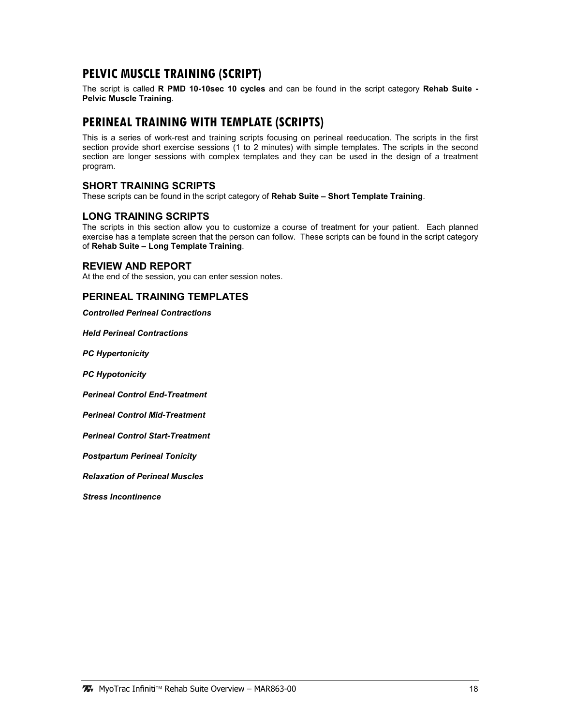## PELVIC MUSCLE TRAINING (SCRIPT)

The script is called R PMD 10-10sec 10 cycles and can be found in the script category Rehab Suite -Pelvic Muscle Training.

## PERINEAL TRAINING WITH TEMPLATE (SCRIPTS)

This is a series of work-rest and training scripts focusing on perineal reeducation. The scripts in the first section provide short exercise sessions (1 to 2 minutes) with simple templates. The scripts in the second section are longer sessions with complex templates and they can be used in the design of a treatment program.

#### SHORT TRAINING SCRIPTS

These scripts can be found in the script category of Rehab Suite - Short Template Training.

#### LONG TRAINING SCRIPTS

The scripts in this section allow you to customize a course of treatment for your patient. Each planned exercise has a template screen that the person can follow. These scripts can be found in the script category of Rehab Suite – Long Template Training.

#### REVIEW AND REPORT

At the end of the session, you can enter session notes.

#### PERINEAL TRAINING TEMPLATES

Controlled Perineal Contractions

Held Perineal Contractions

PC Hypertonicity

PC Hypotonicity

Perineal Control End-Treatment

Perineal Control Mid-Treatment

Perineal Control Start-Treatment

Postpartum Perineal Tonicity

Relaxation of Perineal Muscles

Stress Incontinence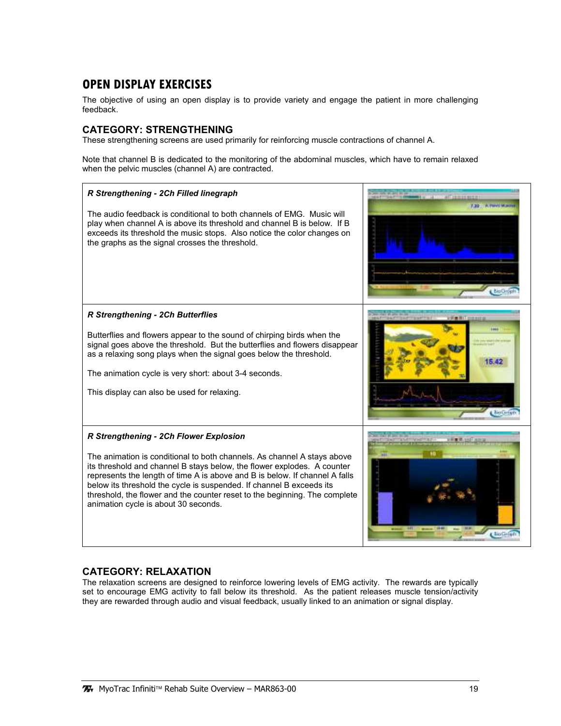## OPEN DISPLAY EXERCISES

The objective of using an open display is to provide variety and engage the patient in more challenging feedback.

#### CATEGORY: STRENGTHENING

These strengthening screens are used primarily for reinforcing muscle contractions of channel A.

Note that channel B is dedicated to the monitoring of the abdominal muscles, which have to remain relaxed when the pelvic muscles (channel A) are contracted.



### CATEGORY: RELAXATION

The relaxation screens are designed to reinforce lowering levels of EMG activity. The rewards are typically set to encourage EMG activity to fall below its threshold. As the patient releases muscle tension/activity they are rewarded through audio and visual feedback, usually linked to an animation or signal display.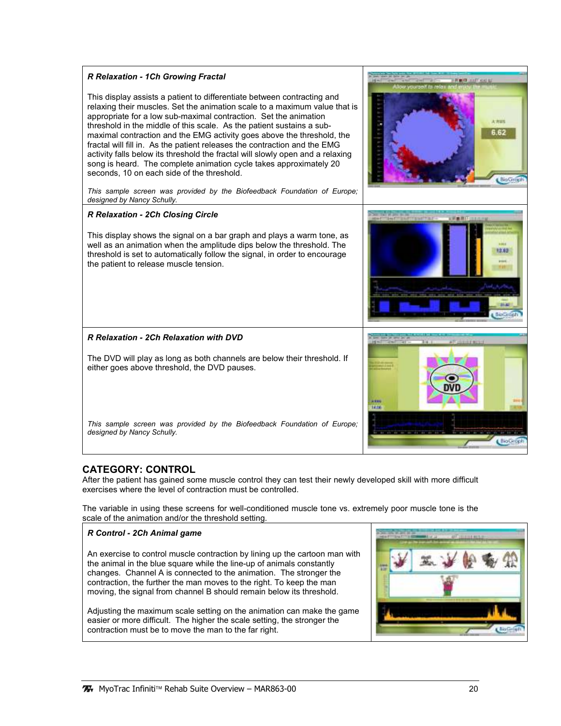

### CATEGORY: CONTROL

After the patient has gained some muscle control they can test their newly developed skill with more difficult exercises where the level of contraction must be controlled.

The variable in using these screens for well-conditioned muscle tone vs. extremely poor muscle tone is the scale of the animation and/or the threshold setting.

### R Control - 2Ch Animal game An exercise to control muscle contraction by lining up the cartoon man with the animal in the blue square while the line-up of animals constantly changes. Channel A is connected to the animation. The stronger the contraction, the further the man moves to the right. To keep the man moving, the signal from channel B should remain below its threshold. Adjusting the maximum scale setting on the animation can make the game easier or more difficult. The higher the scale setting, the stronger the contraction must be to move the man to the far right.